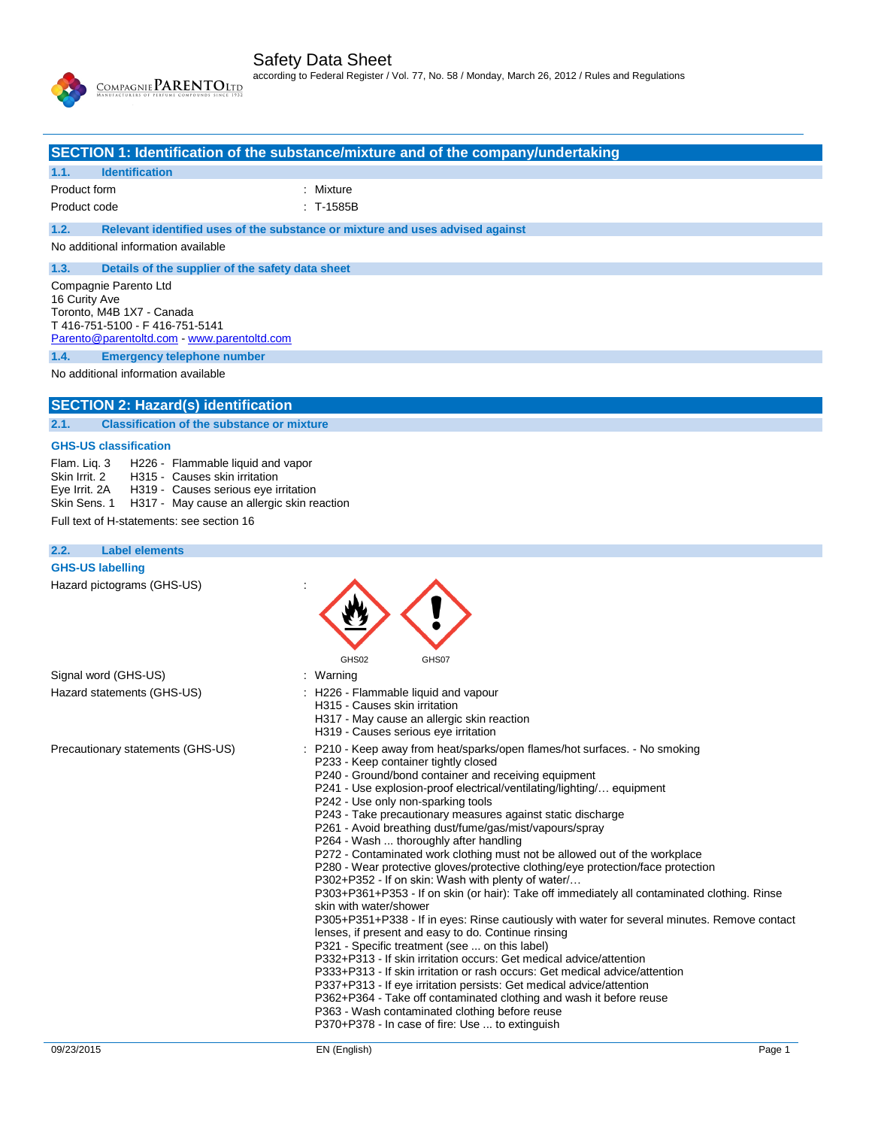

P362+P364 - Take off contaminated clothing and wash it before reuse

P363 - Wash contaminated clothing before reuse

P370+P378 - In case of fire: Use ... to extinguish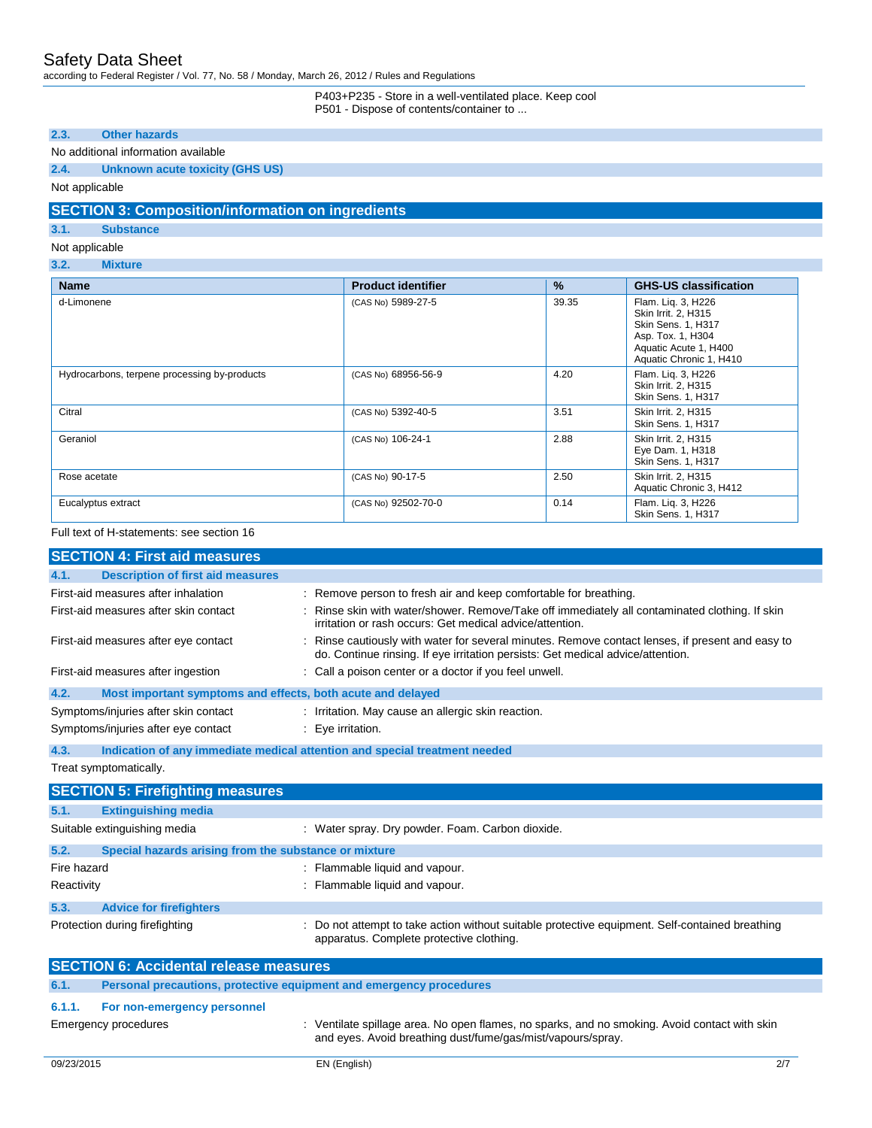according to Federal Register / Vol. 77, No. 58 / Monday, March 26, 2012 / Rules and Regulations

### P403+P235 - Store in a well-ventilated place. Keep cool P501 - Dispose of contents/container to ...

**2.3. Other hazards**

### No additional information available

### **2.4. Unknown acute toxicity (GHS US)**

Not applicable

# **SECTION 3: Composition/information on ingredients**

**3.1. Substance**

### Not applicable

### **3.2. Mixture**

| <b>Name</b>                                  | <b>Product identifier</b> | $\%$  | <b>GHS-US classification</b>                                                                                                             |
|----------------------------------------------|---------------------------|-------|------------------------------------------------------------------------------------------------------------------------------------------|
| d-Limonene                                   | (CAS No) 5989-27-5        | 39.35 | Flam. Lig. 3, H226<br>Skin Irrit. 2, H315<br>Skin Sens. 1, H317<br>Asp. Tox. 1, H304<br>Aquatic Acute 1, H400<br>Aquatic Chronic 1, H410 |
| Hydrocarbons, terpene processing by-products | (CAS No) 68956-56-9       | 4.20  | Flam. Liq. 3, H226<br>Skin Irrit. 2. H315<br>Skin Sens. 1, H317                                                                          |
| Citral                                       | (CAS No) 5392-40-5        | 3.51  | Skin Irrit. 2, H315<br>Skin Sens. 1, H317                                                                                                |
| Geraniol                                     | (CAS No) 106-24-1         | 2.88  | Skin Irrit. 2, H315<br>Eye Dam. 1, H318<br>Skin Sens. 1, H317                                                                            |
| Rose acetate                                 | (CAS No) 90-17-5          | 2.50  | Skin Irrit. 2, H315<br>Aquatic Chronic 3, H412                                                                                           |
| Eucalyptus extract                           | (CAS No) 92502-70-0       | 0.14  | Flam. Lig. 3, H226<br>Skin Sens. 1, H317                                                                                                 |

### Full text of H-statements: see section 16

|                                | <b>SECTION 4: First aid measures</b>                                |                                                                                                                                                                                   |
|--------------------------------|---------------------------------------------------------------------|-----------------------------------------------------------------------------------------------------------------------------------------------------------------------------------|
| 4.1.                           | <b>Description of first aid measures</b>                            |                                                                                                                                                                                   |
|                                | First-aid measures after inhalation                                 | : Remove person to fresh air and keep comfortable for breathing.                                                                                                                  |
|                                | First-aid measures after skin contact                               | Rinse skin with water/shower. Remove/Take off immediately all contaminated clothing. If skin<br>irritation or rash occurs: Get medical advice/attention.                          |
|                                | First-aid measures after eye contact                                | Rinse cautiously with water for several minutes. Remove contact lenses, if present and easy to<br>do. Continue rinsing. If eye irritation persists: Get medical advice/attention. |
|                                | First-aid measures after ingestion                                  | : Call a poison center or a doctor if you feel unwell.                                                                                                                            |
| 4.2.                           | Most important symptoms and effects, both acute and delayed         |                                                                                                                                                                                   |
|                                | Symptoms/injuries after skin contact                                | : Irritation. May cause an allergic skin reaction.                                                                                                                                |
|                                | Symptoms/injuries after eye contact                                 | : Eve irritation.                                                                                                                                                                 |
| 4.3.                           |                                                                     | Indication of any immediate medical attention and special treatment needed                                                                                                        |
| Treat symptomatically.         |                                                                     |                                                                                                                                                                                   |
|                                | <b>SECTION 5: Firefighting measures</b>                             |                                                                                                                                                                                   |
|                                |                                                                     |                                                                                                                                                                                   |
| 5.1.                           | <b>Extinguishing media</b>                                          |                                                                                                                                                                                   |
|                                | Suitable extinguishing media                                        | : Water spray. Dry powder. Foam. Carbon dioxide.                                                                                                                                  |
| 5.2.                           | Special hazards arising from the substance or mixture               |                                                                                                                                                                                   |
| Fire hazard                    |                                                                     | : Flammable liquid and vapour.                                                                                                                                                    |
| Reactivity                     |                                                                     | : Flammable liquid and vapour.                                                                                                                                                    |
| 5.3.                           | <b>Advice for firefighters</b>                                      |                                                                                                                                                                                   |
| Protection during firefighting |                                                                     | Do not attempt to take action without suitable protective equipment. Self-contained breathing<br>apparatus. Complete protective clothing.                                         |
|                                | <b>SECTION 6: Accidental release measures</b>                       |                                                                                                                                                                                   |
| 6.1.                           | Personal precautions, protective equipment and emergency procedures |                                                                                                                                                                                   |
| 6.1.1.                         | For non-emergency personnel                                         |                                                                                                                                                                                   |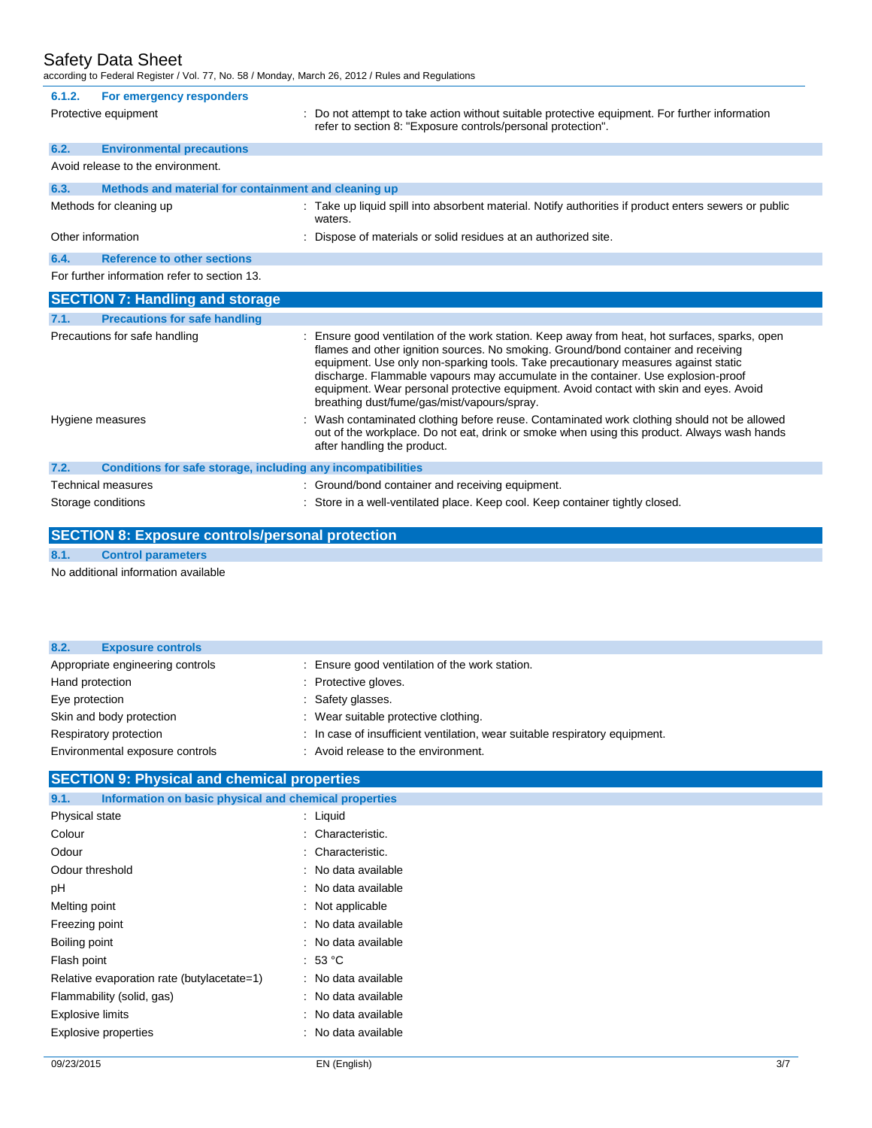## Safety Data Sheet

according to Federal Register / Vol. 77, No. 58 / Monday, March 26, 2012 / Rules and Regulations

| 6.1.2.               | For emergency responders                                     |                                                                                                                                                                                                                                                                                                                                                                                                                                                                                                          |
|----------------------|--------------------------------------------------------------|----------------------------------------------------------------------------------------------------------------------------------------------------------------------------------------------------------------------------------------------------------------------------------------------------------------------------------------------------------------------------------------------------------------------------------------------------------------------------------------------------------|
| Protective equipment |                                                              | : Do not attempt to take action without suitable protective equipment. For further information<br>refer to section 8: "Exposure controls/personal protection".                                                                                                                                                                                                                                                                                                                                           |
| 6.2.                 | <b>Environmental precautions</b>                             |                                                                                                                                                                                                                                                                                                                                                                                                                                                                                                          |
|                      | Avoid release to the environment.                            |                                                                                                                                                                                                                                                                                                                                                                                                                                                                                                          |
| 6.3.                 | Methods and material for containment and cleaning up         |                                                                                                                                                                                                                                                                                                                                                                                                                                                                                                          |
|                      | Methods for cleaning up                                      | : Take up liquid spill into absorbent material. Notify authorities if product enters sewers or public<br>waters.                                                                                                                                                                                                                                                                                                                                                                                         |
| Other information    |                                                              | : Dispose of materials or solid residues at an authorized site.                                                                                                                                                                                                                                                                                                                                                                                                                                          |
| 6.4.                 | <b>Reference to other sections</b>                           |                                                                                                                                                                                                                                                                                                                                                                                                                                                                                                          |
|                      | For further information refer to section 13.                 |                                                                                                                                                                                                                                                                                                                                                                                                                                                                                                          |
|                      | <b>SECTION 7: Handling and storage</b>                       |                                                                                                                                                                                                                                                                                                                                                                                                                                                                                                          |
|                      |                                                              |                                                                                                                                                                                                                                                                                                                                                                                                                                                                                                          |
| 7.1.                 | <b>Precautions for safe handling</b>                         |                                                                                                                                                                                                                                                                                                                                                                                                                                                                                                          |
|                      | Precautions for safe handling                                | : Ensure good ventilation of the work station. Keep away from heat, hot surfaces, sparks, open<br>flames and other ignition sources. No smoking. Ground/bond container and receiving<br>equipment. Use only non-sparking tools. Take precautionary measures against static<br>discharge. Flammable vapours may accumulate in the container. Use explosion-proof<br>equipment. Wear personal protective equipment. Avoid contact with skin and eyes. Avoid<br>breathing dust/fume/gas/mist/vapours/spray. |
|                      | Hygiene measures                                             | Wash contaminated clothing before reuse. Contaminated work clothing should not be allowed<br>out of the workplace. Do not eat, drink or smoke when using this product. Always wash hands<br>after handling the product.                                                                                                                                                                                                                                                                                  |
| 7.2.                 | Conditions for safe storage, including any incompatibilities |                                                                                                                                                                                                                                                                                                                                                                                                                                                                                                          |
|                      | Technical measures                                           | : Ground/bond container and receiving equipment.                                                                                                                                                                                                                                                                                                                                                                                                                                                         |

# **SECTION 8: Exposure controls/personal protection 8.1. Control parameters**

No additional information available

| <b>Exposure controls</b><br>8.2. |                                                                             |
|----------------------------------|-----------------------------------------------------------------------------|
| Appropriate engineering controls | : Ensure good ventilation of the work station.                              |
| Hand protection                  | : Protective gloves.                                                        |
| Eye protection                   | : Safety glasses.                                                           |
| Skin and body protection         | : Wear suitable protective clothing.                                        |
| Respiratory protection           | : In case of insufficient ventilation, wear suitable respiratory equipment. |
| Environmental exposure controls  | : Avoid release to the environment.                                         |

# **SECTION 9: Physical and chemical properties**

| Information on basic physical and chemical properties<br>9.1. |                     |
|---------------------------------------------------------------|---------------------|
| Physical state                                                | : Liquid            |
| Colour                                                        | : Characteristic.   |
| Odour                                                         | : Characteristic.   |
| Odour threshold                                               | : No data available |
| рH                                                            | : No data available |
| Melting point                                                 | : Not applicable    |
| Freezing point                                                | : No data available |
| Boiling point                                                 | : No data available |
| Flash point                                                   | .53 °C              |
| Relative evaporation rate (butylacetate=1)                    | : No data available |
| Flammability (solid, gas)                                     | : No data available |
| <b>Explosive limits</b>                                       | : No data available |
| <b>Explosive properties</b>                                   | : No data available |
|                                                               |                     |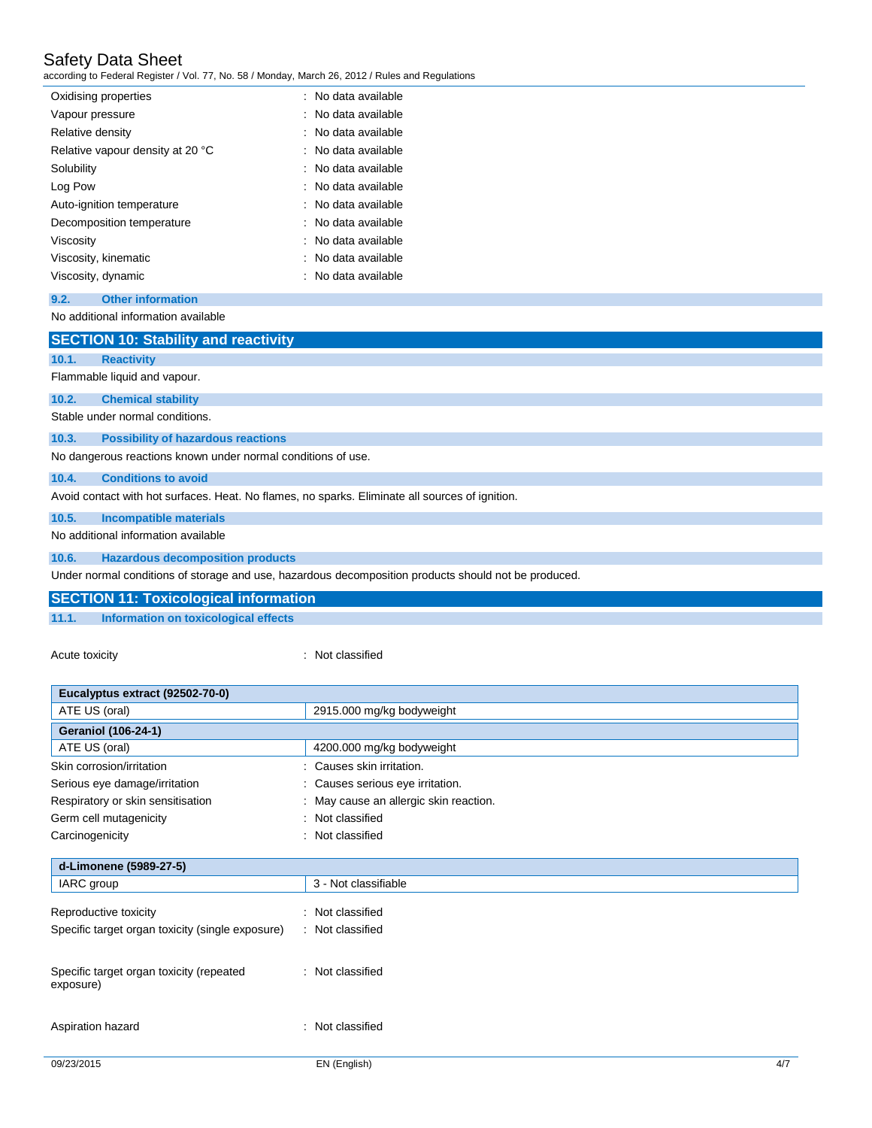# Safety Data Sheet

according to Federal Register / Vol. 77, No. 58 / Monday, March 26, 2012 / Rules and Regulations

| Oxidising properties             | : No data available            |
|----------------------------------|--------------------------------|
| Vapour pressure                  | : No data available            |
| Relative density                 | : No data available            |
| Relative vapour density at 20 °C | : No data available            |
| Solubility                       | : No data available            |
| Log Pow                          | $\therefore$ No data available |
| Auto-ignition temperature        | : No data available            |
| Decomposition temperature        | : No data available            |
| Viscosity                        | : No data available            |
| Viscosity, kinematic             | : No data available            |
| Viscosity, dynamic               | : No data available            |

**9.2. Other information**

No additional information available

|       | <b>SECTION 10: Stability and reactivity</b>                                                          |
|-------|------------------------------------------------------------------------------------------------------|
| 10.1. | <b>Reactivity</b>                                                                                    |
|       | Flammable liquid and vapour.                                                                         |
| 10.2. | <b>Chemical stability</b>                                                                            |
|       | Stable under normal conditions.                                                                      |
| 10.3. | <b>Possibility of hazardous reactions</b>                                                            |
|       | No dangerous reactions known under normal conditions of use.                                         |
| 10.4. | <b>Conditions to avoid</b>                                                                           |
|       | Avoid contact with hot surfaces. Heat. No flames, no sparks. Eliminate all sources of ignition.      |
| 10.5. | <b>Incompatible materials</b>                                                                        |
|       | No additional information available                                                                  |
| 10.6. | <b>Hazardous decomposition products</b>                                                              |
|       | Under normal conditions of storage and use, hazardous decomposition products should not be produced. |

|       | SECTION 11: Toxicological information |
|-------|---------------------------------------|
| 11.1. | Information on toxicological effects  |
|       |                                       |

Acute toxicity **in the case of the CALIC CONTEX :** Not classified

| Eucalyptus extract (92502-70-0)                  |                                      |
|--------------------------------------------------|--------------------------------------|
| ATE US (oral)                                    | 2915.000 mg/kg bodyweight            |
| <b>Geraniol (106-24-1)</b>                       |                                      |
| ATE US (oral)                                    | 4200.000 mg/kg bodyweight            |
| Skin corrosion/irritation                        | Causes skin irritation.              |
| Serious eye damage/irritation                    | : Causes serious eye irritation.     |
| Respiratory or skin sensitisation                | May cause an allergic skin reaction. |
| Germ cell mutagenicity                           | Not classified<br>٠                  |
| Carcinogenicity                                  | Not classified<br>÷                  |
| d-Limonene (5989-27-5)                           |                                      |
| IARC group                                       | 3 - Not classifiable                 |
| Reproductive toxicity                            | Not classified<br>÷                  |
| Specific target organ toxicity (single exposure) | : Not classified                     |
| Specific target organ toxicity (repeated         | : Not classified                     |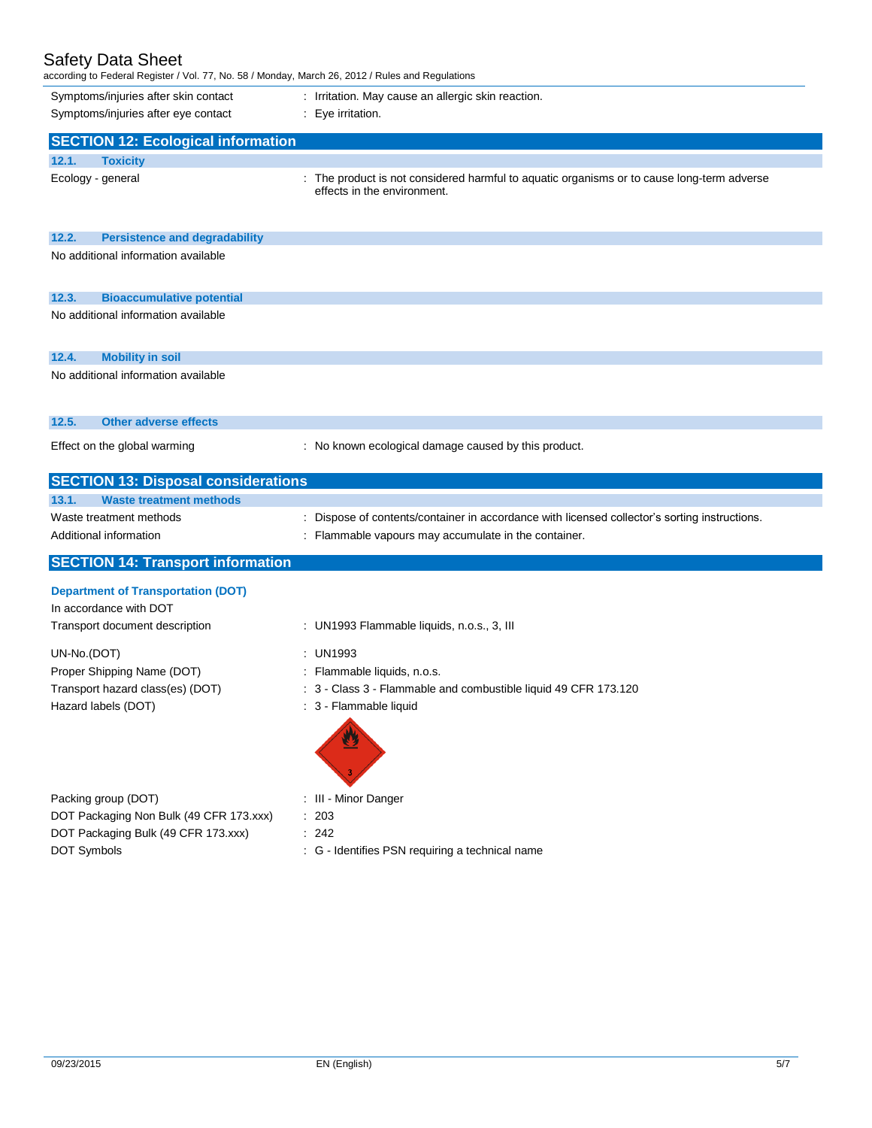# Safety Data Sheet

according to Federal Register / Vol. 77, No. 58 / Monday, March 26, 2012 / Rules and Regulations

| according to Federal Register / Vol. 77, No. 58 / Monday, March 26, 2012 / Rules and Regulations |                                                                                                                           |
|--------------------------------------------------------------------------------------------------|---------------------------------------------------------------------------------------------------------------------------|
| Symptoms/injuries after skin contact                                                             | : Irritation. May cause an allergic skin reaction.                                                                        |
| Symptoms/injuries after eye contact                                                              | : Eye irritation.                                                                                                         |
| <b>SECTION 12: Ecological information</b>                                                        |                                                                                                                           |
|                                                                                                  |                                                                                                                           |
| 12.1.<br><b>Toxicity</b>                                                                         |                                                                                                                           |
| Ecology - general                                                                                | : The product is not considered harmful to aquatic organisms or to cause long-term adverse<br>effects in the environment. |
|                                                                                                  |                                                                                                                           |
|                                                                                                  |                                                                                                                           |
| 12.2.<br><b>Persistence and degradability</b>                                                    |                                                                                                                           |
| No additional information available                                                              |                                                                                                                           |
|                                                                                                  |                                                                                                                           |
| 12.3.<br><b>Bioaccumulative potential</b>                                                        |                                                                                                                           |
| No additional information available                                                              |                                                                                                                           |
|                                                                                                  |                                                                                                                           |
|                                                                                                  |                                                                                                                           |
| 12.4.<br><b>Mobility in soil</b>                                                                 |                                                                                                                           |
| No additional information available                                                              |                                                                                                                           |
|                                                                                                  |                                                                                                                           |
| 12.5.<br><b>Other adverse effects</b>                                                            |                                                                                                                           |
|                                                                                                  |                                                                                                                           |
| Effect on the global warming                                                                     | : No known ecological damage caused by this product.                                                                      |
|                                                                                                  |                                                                                                                           |
| <b>SECTION 13: Disposal considerations</b>                                                       |                                                                                                                           |
| <b>Waste treatment methods</b><br>13.1.                                                          |                                                                                                                           |
| Waste treatment methods                                                                          | : Dispose of contents/container in accordance with licensed collector's sorting instructions.                             |
| Additional information                                                                           | : Flammable vapours may accumulate in the container.                                                                      |
| <b>SECTION 14: Transport information</b>                                                         |                                                                                                                           |
|                                                                                                  |                                                                                                                           |
| <b>Department of Transportation (DOT)</b>                                                        |                                                                                                                           |
| In accordance with DOT                                                                           |                                                                                                                           |
| Transport document description                                                                   | : UN1993 Flammable liquids, n.o.s., 3, III                                                                                |
| UN-No.(DOT)                                                                                      | : UN1993                                                                                                                  |
|                                                                                                  |                                                                                                                           |
|                                                                                                  |                                                                                                                           |
| Proper Shipping Name (DOT)                                                                       | : Flammable liquids, n.o.s.                                                                                               |
| Transport hazard class(es) (DOT)                                                                 | : 3 - Class 3 - Flammable and combustible liquid 49 CFR 173.120                                                           |
| Hazard labels (DOT)                                                                              | : 3 - Flammable liquid                                                                                                    |
|                                                                                                  |                                                                                                                           |
|                                                                                                  |                                                                                                                           |
|                                                                                                  |                                                                                                                           |
|                                                                                                  |                                                                                                                           |
| Packing group (DOT)                                                                              | : III - Minor Danger                                                                                                      |
| DOT Packaging Non Bulk (49 CFR 173.xxx)<br>DOT Packaging Bulk (49 CFR 173.xxx)                   | : 203<br>: 242                                                                                                            |

DOT Symbols **DOT** Symbols **COLLECT**  $\sim$  C - Identifies PSN requiring a technical name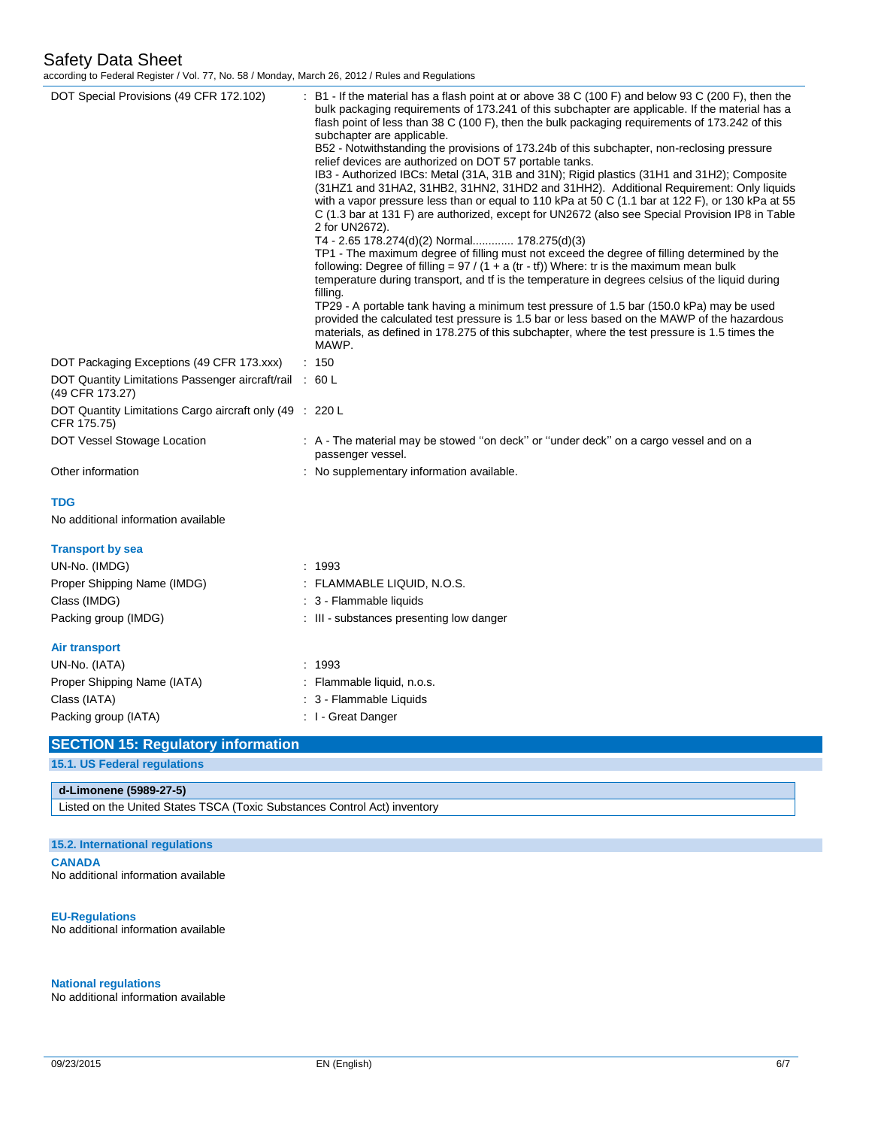according to Federal Register / Vol. 77, No. 58 / Monday, March 26, 2012 / Rules and Regulations

| DOT Special Provisions (49 CFR 172.102)                                    | : B1 - If the material has a flash point at or above 38 C (100 F) and below 93 C (200 F), then the<br>bulk packaging requirements of 173.241 of this subchapter are applicable. If the material has a<br>flash point of less than 38 C (100 F), then the bulk packaging requirements of 173.242 of this<br>subchapter are applicable.<br>B52 - Notwithstanding the provisions of 173.24b of this subchapter, non-reclosing pressure<br>relief devices are authorized on DOT 57 portable tanks.<br>IB3 - Authorized IBCs: Metal (31A, 31B and 31N); Rigid plastics (31H1 and 31H2); Composite<br>(31HZ1 and 31HA2, 31HB2, 31HN2, 31HD2 and 31HH2). Additional Requirement: Only liquids<br>with a vapor pressure less than or equal to 110 kPa at 50 C (1.1 bar at 122 F), or 130 kPa at 55<br>C (1.3 bar at 131 F) are authorized, except for UN2672 (also see Special Provision IP8 in Table<br>2 for UN2672).<br>T4 - 2.65 178.274(d)(2) Normal 178.275(d)(3)<br>TP1 - The maximum degree of filling must not exceed the degree of filling determined by the<br>following: Degree of filling = $97 / (1 + a (tr - tf))$ Where: tr is the maximum mean bulk<br>temperature during transport, and tf is the temperature in degrees celsius of the liquid during<br>filling.<br>TP29 - A portable tank having a minimum test pressure of 1.5 bar (150.0 kPa) may be used<br>provided the calculated test pressure is 1.5 bar or less based on the MAWP of the hazardous<br>materials, as defined in 178.275 of this subchapter, where the test pressure is 1.5 times the<br>MAWP. |
|----------------------------------------------------------------------------|----------------------------------------------------------------------------------------------------------------------------------------------------------------------------------------------------------------------------------------------------------------------------------------------------------------------------------------------------------------------------------------------------------------------------------------------------------------------------------------------------------------------------------------------------------------------------------------------------------------------------------------------------------------------------------------------------------------------------------------------------------------------------------------------------------------------------------------------------------------------------------------------------------------------------------------------------------------------------------------------------------------------------------------------------------------------------------------------------------------------------------------------------------------------------------------------------------------------------------------------------------------------------------------------------------------------------------------------------------------------------------------------------------------------------------------------------------------------------------------------------------------------------------------------------------------------------------|
| DOT Packaging Exceptions (49 CFR 173.xxx)                                  | : 150                                                                                                                                                                                                                                                                                                                                                                                                                                                                                                                                                                                                                                                                                                                                                                                                                                                                                                                                                                                                                                                                                                                                                                                                                                                                                                                                                                                                                                                                                                                                                                            |
| DOT Quantity Limitations Passenger aircraft/rail : 60 L<br>(49 CFR 173.27) |                                                                                                                                                                                                                                                                                                                                                                                                                                                                                                                                                                                                                                                                                                                                                                                                                                                                                                                                                                                                                                                                                                                                                                                                                                                                                                                                                                                                                                                                                                                                                                                  |
| DOT Quantity Limitations Cargo aircraft only (49 : 220 L<br>CFR 175.75)    |                                                                                                                                                                                                                                                                                                                                                                                                                                                                                                                                                                                                                                                                                                                                                                                                                                                                                                                                                                                                                                                                                                                                                                                                                                                                                                                                                                                                                                                                                                                                                                                  |
| DOT Vessel Stowage Location                                                | : A - The material may be stowed "on deck" or "under deck" on a cargo vessel and on a<br>passenger vessel.                                                                                                                                                                                                                                                                                                                                                                                                                                                                                                                                                                                                                                                                                                                                                                                                                                                                                                                                                                                                                                                                                                                                                                                                                                                                                                                                                                                                                                                                       |
| Other information                                                          | : No supplementary information available.                                                                                                                                                                                                                                                                                                                                                                                                                                                                                                                                                                                                                                                                                                                                                                                                                                                                                                                                                                                                                                                                                                                                                                                                                                                                                                                                                                                                                                                                                                                                        |
| <b>TDG</b>                                                                 |                                                                                                                                                                                                                                                                                                                                                                                                                                                                                                                                                                                                                                                                                                                                                                                                                                                                                                                                                                                                                                                                                                                                                                                                                                                                                                                                                                                                                                                                                                                                                                                  |
| No additional information available                                        |                                                                                                                                                                                                                                                                                                                                                                                                                                                                                                                                                                                                                                                                                                                                                                                                                                                                                                                                                                                                                                                                                                                                                                                                                                                                                                                                                                                                                                                                                                                                                                                  |
| <b>Transport by sea</b>                                                    |                                                                                                                                                                                                                                                                                                                                                                                                                                                                                                                                                                                                                                                                                                                                                                                                                                                                                                                                                                                                                                                                                                                                                                                                                                                                                                                                                                                                                                                                                                                                                                                  |
| UN-No. (IMDG)                                                              | : 1993                                                                                                                                                                                                                                                                                                                                                                                                                                                                                                                                                                                                                                                                                                                                                                                                                                                                                                                                                                                                                                                                                                                                                                                                                                                                                                                                                                                                                                                                                                                                                                           |
| Proper Shipping Name (IMDG)                                                | : FLAMMABLE LIQUID, N.O.S.                                                                                                                                                                                                                                                                                                                                                                                                                                                                                                                                                                                                                                                                                                                                                                                                                                                                                                                                                                                                                                                                                                                                                                                                                                                                                                                                                                                                                                                                                                                                                       |
| Class (IMDG)                                                               | : 3 - Flammable liquids                                                                                                                                                                                                                                                                                                                                                                                                                                                                                                                                                                                                                                                                                                                                                                                                                                                                                                                                                                                                                                                                                                                                                                                                                                                                                                                                                                                                                                                                                                                                                          |
| Packing group (IMDG)                                                       | : III - substances presenting low danger                                                                                                                                                                                                                                                                                                                                                                                                                                                                                                                                                                                                                                                                                                                                                                                                                                                                                                                                                                                                                                                                                                                                                                                                                                                                                                                                                                                                                                                                                                                                         |
| Air transport                                                              |                                                                                                                                                                                                                                                                                                                                                                                                                                                                                                                                                                                                                                                                                                                                                                                                                                                                                                                                                                                                                                                                                                                                                                                                                                                                                                                                                                                                                                                                                                                                                                                  |
| UN-No. (IATA)                                                              | : 1993                                                                                                                                                                                                                                                                                                                                                                                                                                                                                                                                                                                                                                                                                                                                                                                                                                                                                                                                                                                                                                                                                                                                                                                                                                                                                                                                                                                                                                                                                                                                                                           |
| Proper Shipping Name (IATA)                                                | : Flammable liquid, n.o.s.                                                                                                                                                                                                                                                                                                                                                                                                                                                                                                                                                                                                                                                                                                                                                                                                                                                                                                                                                                                                                                                                                                                                                                                                                                                                                                                                                                                                                                                                                                                                                       |
| Class (IATA)                                                               | : 3 - Flammable Liquids                                                                                                                                                                                                                                                                                                                                                                                                                                                                                                                                                                                                                                                                                                                                                                                                                                                                                                                                                                                                                                                                                                                                                                                                                                                                                                                                                                                                                                                                                                                                                          |
| Packing group (IATA)                                                       | : I - Great Danger                                                                                                                                                                                                                                                                                                                                                                                                                                                                                                                                                                                                                                                                                                                                                                                                                                                                                                                                                                                                                                                                                                                                                                                                                                                                                                                                                                                                                                                                                                                                                               |
| <b>SECTION 15: Regulatory information</b>                                  |                                                                                                                                                                                                                                                                                                                                                                                                                                                                                                                                                                                                                                                                                                                                                                                                                                                                                                                                                                                                                                                                                                                                                                                                                                                                                                                                                                                                                                                                                                                                                                                  |
| <b>15.1. US Federal regulations</b>                                        |                                                                                                                                                                                                                                                                                                                                                                                                                                                                                                                                                                                                                                                                                                                                                                                                                                                                                                                                                                                                                                                                                                                                                                                                                                                                                                                                                                                                                                                                                                                                                                                  |

### **d-Limonene (5989-27-5)**

Listed on the United States TSCA (Toxic Substances Control Act) inventory

### **15.2. International regulations**

**CANADA** No additional information available

### **EU-Regulations**

No additional information available

### **National regulations**

No additional information available